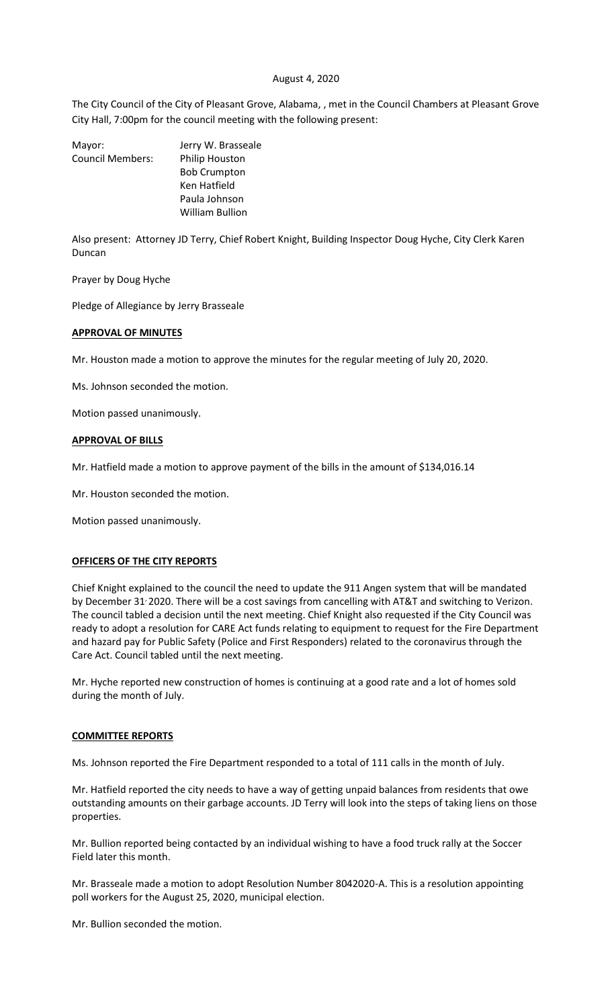### August 4, 2020

The City Council of the City of Pleasant Grove, Alabama, , met in the Council Chambers at Pleasant Grove City Hall, 7:00pm for the council meeting with the following present:

| Mayor:                  | Jerry W. Brasseale     |
|-------------------------|------------------------|
| <b>Council Members:</b> | Philip Houston         |
|                         | <b>Bob Crumpton</b>    |
|                         | Ken Hatfield           |
|                         | Paula Johnson          |
|                         | <b>William Bullion</b> |
|                         |                        |

Also present: Attorney JD Terry, Chief Robert Knight, Building Inspector Doug Hyche, City Clerk Karen Duncan

Prayer by Doug Hyche

Pledge of Allegiance by Jerry Brasseale

### **APPROVAL OF MINUTES**

Mr. Houston made a motion to approve the minutes for the regular meeting of July 20, 2020.

Ms. Johnson seconded the motion.

Motion passed unanimously.

### **APPROVAL OF BILLS**

Mr. Hatfield made a motion to approve payment of the bills in the amount of \$134,016.14

Mr. Houston seconded the motion.

Motion passed unanimously.

### **OFFICERS OF THE CITY REPORTS**

Chief Knight explained to the council the need to update the 911 Angen system that will be mandated by December 31/2020. There will be a cost savings from cancelling with AT&T and switching to Verizon. The council tabled a decision until the next meeting. Chief Knight also requested if the City Council was ready to adopt a resolution for CARE Act funds relating to equipment to request for the Fire Department and hazard pay for Public Safety (Police and First Responders) related to the coronavirus through the Care Act. Council tabled until the next meeting.

Mr. Hyche reported new construction of homes is continuing at a good rate and a lot of homes sold during the month of July.

#### **COMMITTEE REPORTS**

Ms. Johnson reported the Fire Department responded to a total of 111 calls in the month of July.

Mr. Hatfield reported the city needs to have a way of getting unpaid balances from residents that owe outstanding amounts on their garbage accounts. JD Terry will look into the steps of taking liens on those properties.

Mr. Bullion reported being contacted by an individual wishing to have a food truck rally at the Soccer Field later this month.

Mr. Brasseale made a motion to adopt Resolution Number 8042020-A. This is a resolution appointing poll workers for the August 25, 2020, municipal election.

Mr. Bullion seconded the motion.